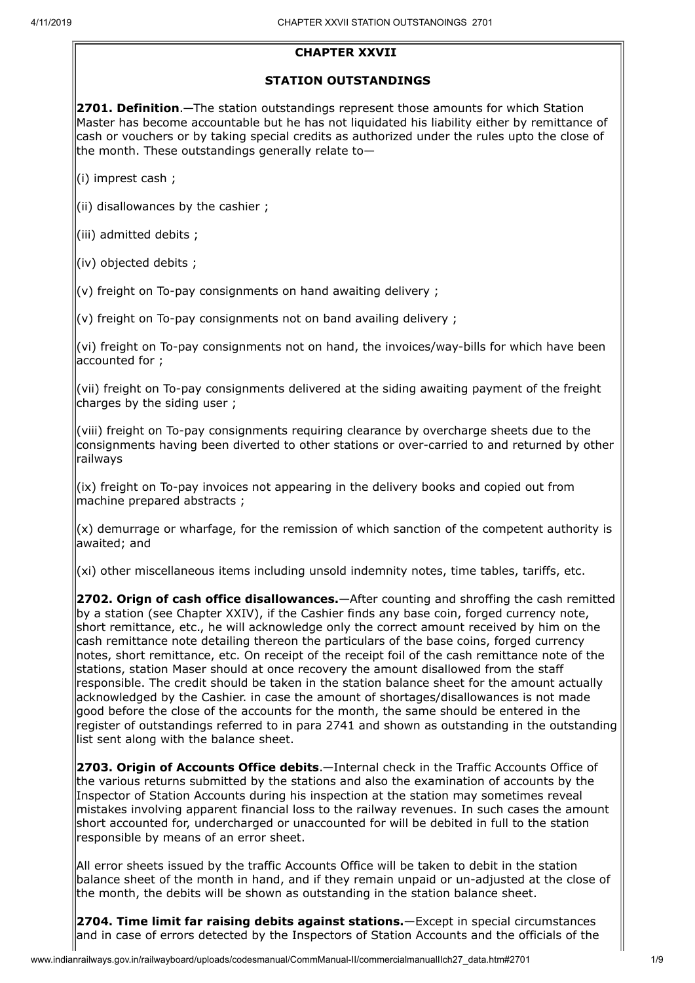## **CHAPTER XXVII**

## **STATION OUTSTANDINGS**

**2701. Definition**.—The station outstandings represent those amounts for which Station Master has become accountable but he has not liquidated his liability either by remittance of cash or vouchers or by taking special credits as authorized under the rules upto the close of the month. These outstandings generally relate to $-$ 

(i) imprest cash ;

 $\left| \right|$  (ii) disallowances by the cashier ;

(iii) admitted debits ;

(iv) objected debits ;

 $\vert$ (v) freight on To-pay consignments on hand awaiting delivery ;

 $\vert$ (v) freight on To-pay consignments not on band availing delivery ;

(vi) freight on To-pay consignments not on hand, the invoices/way-bills for which have been accounted for ;

(vii) freight on To-pay consignments delivered at the siding awaiting payment of the freight charges by the siding user;

(viii) freight on To-pay consignments requiring clearance by overcharge sheets due to the consignments having been diverted to other stations or over-carried to and returned by other railways

(ix) freight on To-pay invoices not appearing in the delivery books and copied out from machine prepared abstracts ;

 $\vert$ (x) demurrage or wharfage, for the remission of which sanction of the competent authority is awaited; and

 $(xi)$  other miscellaneous items including unsold indemnity notes, time tables, tariffs, etc.

**2702. Orign of cash office disallowances.**—After counting and shroffing the cash remitted by a station (see Chapter XXIV), if the Cashier finds any base coin, forged currency note, short remittance, etc., he will acknowledge only the correct amount received by him on the cash remittance note detailing thereon the particulars of the base coins, forged currency notes, short remittance, etc. On receipt of the receipt foil of the cash remittance note of the stations, station Maser should at once recovery the amount disallowed from the staff responsible. The credit should be taken in the station balance sheet for the amount actually acknowledged by the Cashier. in case the amount of shortages/disallowances is not made good before the close of the accounts for the month, the same should be entered in the register of outstandings referred to in para 2741 and shown as outstanding in the outstanding list sent along with the balance sheet.

**2703. Origin of Accounts Office debits**.—Internal check in the Traffic Accounts Office of the various returns submitted by the stations and also the examination of accounts by the Inspector of Station Accounts during his inspection at the station may sometimes reveal mistakes involving apparent financial loss to the railway revenues. In such cases the amount short accounted for, undercharged or unaccounted for will be debited in full to the station responsible by means of an error sheet.

All error sheets issued by the traffic Accounts Office will be taken to debit in the station balance sheet of the month in hand, and if they remain unpaid or un-adjusted at the close of the month, the debits will be shown as outstanding in the station balance sheet.

**2704. Time limit far raising debits against stations.**—Except in special circumstances and in case of errors detected by the Inspectors of Station Accounts and the officials of the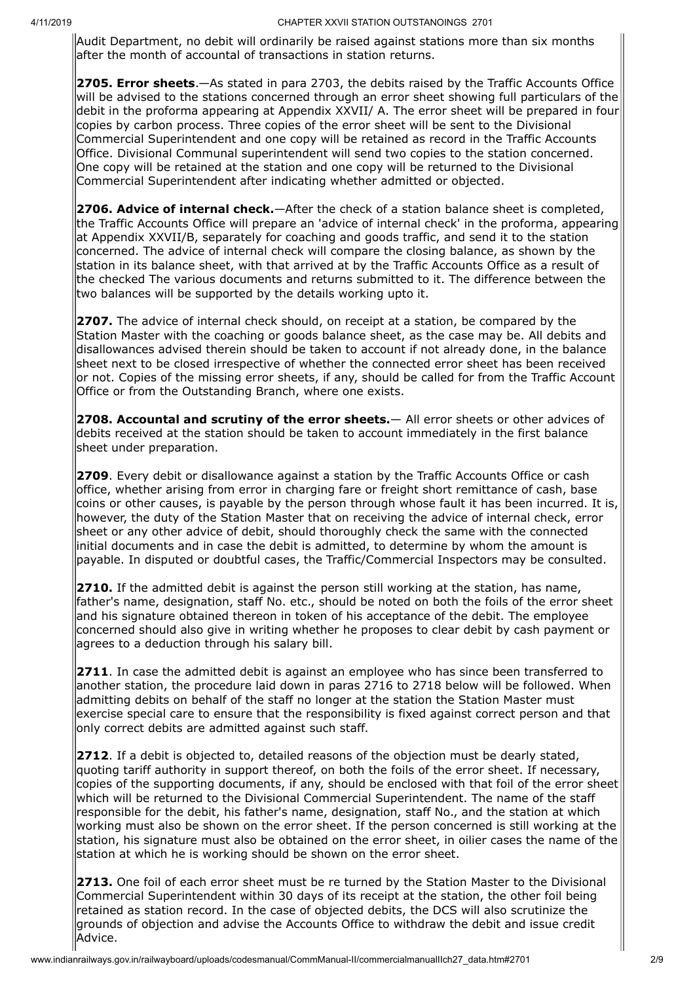Audit Department, no debit will ordinarily be raised against stations more than six months after the month of accountal of transactions in station returns.

**2705. Error sheets**.—As stated in para 2703, the debits raised by the Traffic Accounts Office will be advised to the stations concerned through an error sheet showing full particulars of the debit in the proforma appearing at Appendix XXVII/ A. The error sheet will be prepared in four copies by carbon process. Three copies of the error sheet will be sent to the Divisional Commercial Superintendent and one copy will be retained as record in the Traffic Accounts Office. Divisional Communal superintendent will send two copies to the station concerned. One copy will be retained at the station and one copy will be returned to the Divisional Commercial Superintendent after indicating whether admitted or objected.

**2706. Advice of internal check.**—After the check of a station balance sheet is completed, the Traffic Accounts Office will prepare an 'advice of internal check' in the proforma, appearing at Appendix XXVII/B, separately for coaching and goods traffic, and send it to the station concerned. The advice of internal check will compare the closing balance, as shown by the station in its balance sheet, with that arrived at by the Traffic Accounts Office as a result of the checked The various documents and returns submitted to it. The difference between the two balances will be supported by the details working upto it.

**2707.** The advice of internal check should, on receipt at a station, be compared by the Station Master with the coaching or goods balance sheet, as the case may be. All debits and disallowances advised therein should be taken to account if not already done, in the balance sheet next to be closed irrespective of whether the connected error sheet has been received  $\vert$ or not. Copies of the missing error sheets, if any, should be called for from the Traffic Account Office or from the Outstanding Branch, where one exists.

**2708. Accountal and scrutiny of the error sheets.**— All error sheets or other advices of debits received at the station should be taken to account immediately in the first balance sheet under preparation.

**2709**. Every debit or disallowance against a station by the Traffic Accounts Office or cash  $of$  office, whether arising from error in charging fare or freight short remittance of cash, base coins or other causes, is payable by the person through whose fault it has been incurred. It is, however, the duty of the Station Master that on receiving the advice of internal check, error sheet or any other advice of debit, should thoroughly check the same with the connected initial documents and in case the debit is admitted, to determine by whom the amount is payable. In disputed or doubtful cases, the Traffic/Commercial Inspectors may be consulted.

**2710.** If the admitted debit is against the person still working at the station, has name, father's name, designation, staff No. etc., should be noted on both the foils of the error sheet and his signature obtained thereon in token of his acceptance of the debit. The employee concerned should also give in writing whether he proposes to clear debit by cash payment or agrees to a deduction through his salary bill.

**2711**. In case the admitted debit is against an employee who has since been transferred to another station, the procedure laid down in paras 2716 to 2718 below will be followed. When admitting debits on behalf of the staff no longer at the station the Station Master must exercise special care to ensure that the responsibility is fixed against correct person and that  $|$ only correct debits are admitted against such staff.

**2712**. If a debit is objected to, detailed reasons of the objection must be dearly stated,  $\alpha$  auoting tariff authority in support thereof, on both the foils of the error sheet. If necessary, copies of the supporting documents, if any, should be enclosed with that foil of the error sheet which will be returned to the Divisional Commercial Superintendent. The name of the staff responsible for the debit, his father's name, designation, staff No., and the station at which working must also be shown on the error sheet. If the person concerned is still working at the station, his signature must also be obtained on the error sheet, in oilier cases the name of the station at which he is working should be shown on the error sheet.

**2713.** One foil of each error sheet must be re turned by the Station Master to the Divisional Commercial Superintendent within 30 days of its receipt at the station, the other foil being retained as station record. In the case of objected debits, the DCS will also scrutinize the grounds of objection and advise the Accounts Office to withdraw the debit and issue credit Advice.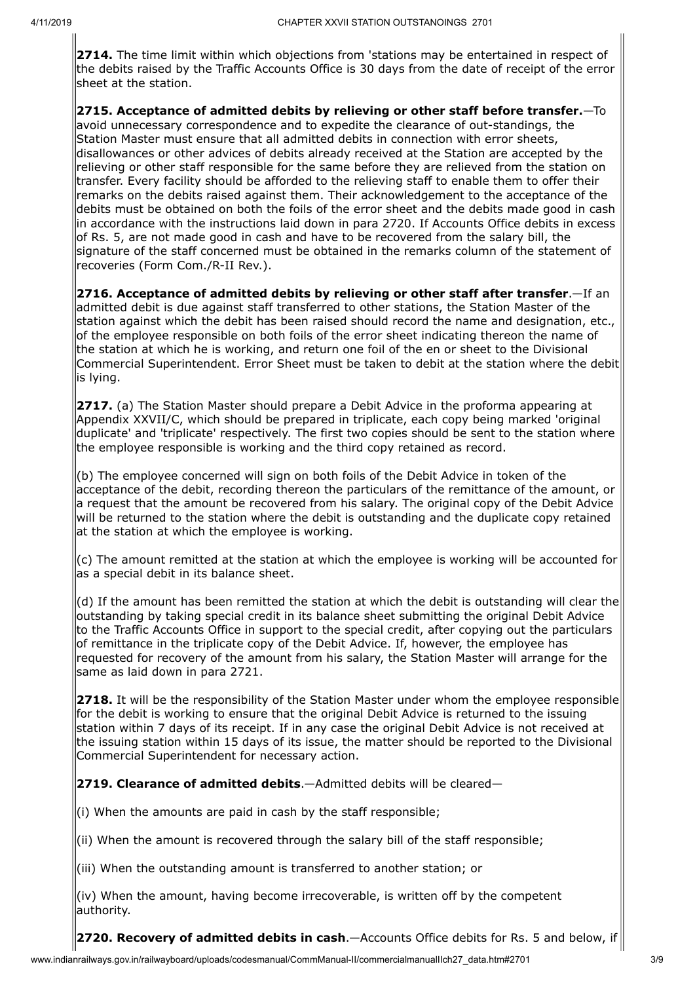**2714.** The time limit within which objections from 'stations may be entertained in respect of the debits raised by the Traffic Accounts Office is 30 days from the date of receipt of the error sheet at the station.

**2715. Acceptance of admitted debits by relieving or other staff before transfer.**—To avoid unnecessary correspondence and to expedite the clearance of out-standings, the Station Master must ensure that all admitted debits in connection with error sheets, disallowances or other advices of debits already received at the Station are accepted by the relieving or other staff responsible for the same before they are relieved from the station on transfer. Every facility should be afforded to the relieving staff to enable them to offer their remarks on the debits raised against them. Their acknowledgement to the acceptance of the debits must be obtained on both the foils of the error sheet and the debits made good in cash in accordance with the instructions laid down in para 2720. If Accounts Office debits in excess  $\sigma$  Rs. 5, are not made good in cash and have to be recovered from the salary bill, the signature of the staff concerned must be obtained in the remarks column of the statement of recoveries (Form Com./R-II Rev.).

**2716. Acceptance of admitted debits by relieving or other staff after transfer**.—If an admitted debit is due against staff transferred to other stations, the Station Master of the station against which the debit has been raised should record the name and designation, etc., of the employee responsible on both foils of the error sheet indicating thereon the name of the station at which he is working, and return one foil of the en or sheet to the Divisional Commercial Superintendent. Error Sheet must be taken to debit at the station where the debit lis lying.

**2717.** (a) The Station Master should prepare a Debit Advice in the proforma appearing at Appendix XXVII/C, which should be prepared in triplicate, each copy being marked 'original duplicate' and 'triplicate' respectively. The first two copies should be sent to the station where the employee responsible is working and the third copy retained as record.

(b) The employee concerned will sign on both foils of the Debit Advice in token of the acceptance of the debit, recording thereon the particulars of the remittance of the amount, or a request that the amount be recovered from his salary. The original copy of the Debit Advice will be returned to the station where the debit is outstanding and the duplicate copy retained  $\frac{1}{1}$ at the station at which the employee is working.

 $(c)$  The amount remitted at the station at which the employee is working will be accounted for as a special debit in its balance sheet.

 $(d)$  If the amount has been remitted the station at which the debit is outstanding will clear the outstanding by taking special credit in its balance sheet submitting the original Debit Advice to the Traffic Accounts Office in support to the special credit, after copying out the particulars of remittance in the triplicate copy of the Debit Advice. If, however, the employee has requested for recovery of the amount from his salary, the Station Master will arrange for the same as laid down in para 2721.

**2718.** It will be the responsibility of the Station Master under whom the employee responsible for the debit is working to ensure that the original Debit Advice is returned to the issuing station within 7 days of its receipt. If in any case the original Debit Advice is not received at the issuing station within 15 days of its issue, the matter should be reported to the Divisional Commercial Superintendent for necessary action.

**2719. Clearance of admitted debits**.—Admitted debits will be cleared—

 $\left| \right|$ (i) When the amounts are paid in cash by the staff responsible;

 $\hat{f}$  (ii) When the amount is recovered through the salary bill of the staff responsible;

(iii) When the outstanding amount is transferred to another station; or

(iv) When the amount, having become irrecoverable, is written off by the competent authority.

**2720. Recovery of admitted debits in cash**.—Accounts Office debits for Rs. 5 and below, if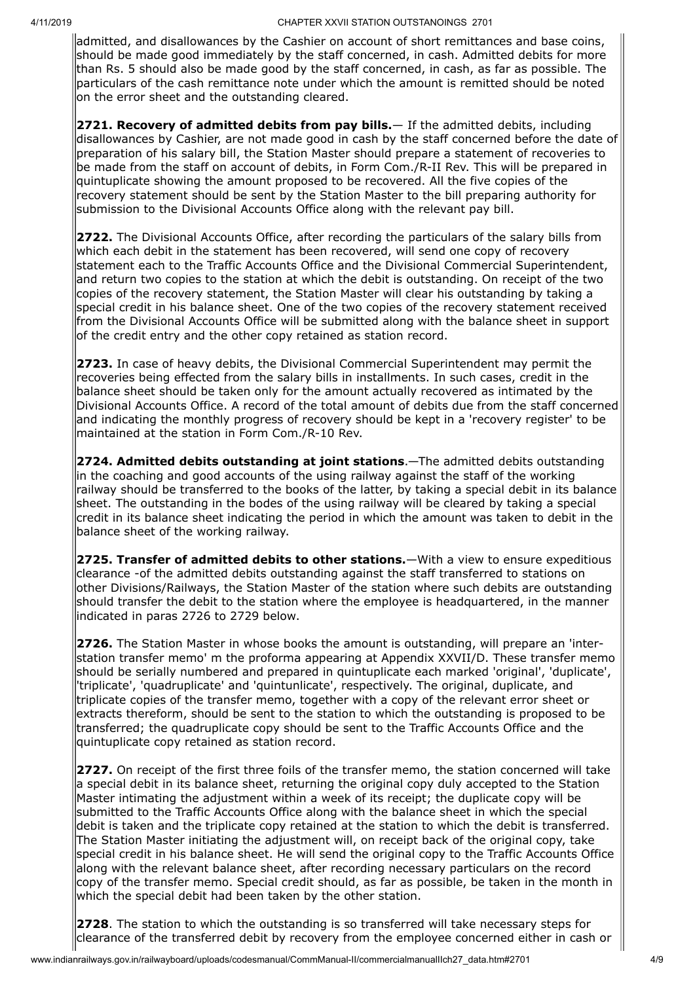admitted, and disallowances by the Cashier on account of short remittances and base coins, should be made good immediately by the staff concerned, in cash. Admitted debits for more than Rs. 5 should also be made good by the staff concerned, in cash, as far as possible. The particulars of the cash remittance note under which the amount is remitted should be noted on the error sheet and the outstanding cleared.

**2721. Recovery of admitted debits from pay bills.**— If the admitted debits, including disallowances by Cashier, are not made good in cash by the staff concerned before the date of preparation of his salary bill, the Station Master should prepare a statement of recoveries to be made from the staff on account of debits, in Form Com./R-II Rev. This will be prepared in quintuplicate showing the amount proposed to be recovered. All the five copies of the recovery statement should be sent by the Station Master to the bill preparing authority for submission to the Divisional Accounts Office along with the relevant pay bill.

**2722.** The Divisional Accounts Office, after recording the particulars of the salary bills from which each debit in the statement has been recovered, will send one copy of recovery statement each to the Traffic Accounts Office and the Divisional Commercial Superintendent, and return two copies to the station at which the debit is outstanding. On receipt of the two copies of the recovery statement, the Station Master will clear his outstanding by taking a special credit in his balance sheet. One of the two copies of the recovery statement received from the Divisional Accounts Office will be submitted along with the balance sheet in support of the credit entry and the other copy retained as station record.

**2723.** In case of heavy debits, the Divisional Commercial Superintendent may permit the recoveries being effected from the salary bills in installments. In such cases, credit in the balance sheet should be taken only for the amount actually recovered as intimated by the Divisional Accounts Office. A record of the total amount of debits due from the staff concerned and indicating the monthly progress of recovery should be kept in a 'recovery register' to be maintained at the station in Form Com./R-10 Rev.

**2724. Admitted debits outstanding at joint stations**.—The admitted debits outstanding in the coaching and good accounts of the using railway against the staff of the working railway should be transferred to the books of the latter, by taking a special debit in its balance sheet. The outstanding in the bodes of the using railway will be cleared by taking a special credit in its balance sheet indicating the period in which the amount was taken to debit in the balance sheet of the working railway.

**2725. Transfer of admitted debits to other stations.**—With a view to ensure expeditious clearance -of the admitted debits outstanding against the staff transferred to stations on other Divisions/Railways, the Station Master of the station where such debits are outstanding should transfer the debit to the station where the employee is headquartered, in the manner indicated in paras 2726 to 2729 below.

**2726.** The Station Master in whose books the amount is outstanding, will prepare an 'interstation transfer memo' m the proforma appearing at Appendix XXVII/D. These transfer memo should be serially numbered and prepared in quintuplicate each marked 'original', 'duplicate', 'triplicate', 'quadruplicate' and 'quintunlicate', respectively. The original, duplicate, and triplicate copies of the transfer memo, together with a copy of the relevant error sheet or extracts thereform, should be sent to the station to which the outstanding is proposed to be transferred; the quadruplicate copy should be sent to the Traffic Accounts Office and the  $|$ quintuplicate copy retained as station record.

**2727.** On receipt of the first three foils of the transfer memo, the station concerned will take a special debit in its balance sheet, returning the original copy duly accepted to the Station Master intimating the adjustment within a week of its receipt; the duplicate copy will be submitted to the Traffic Accounts Office along with the balance sheet in which the special debit is taken and the triplicate copy retained at the station to which the debit is transferred. The Station Master initiating the adjustment will, on receipt back of the original copy, take special credit in his balance sheet. He will send the original copy to the Traffic Accounts Office along with the relevant balance sheet, after recording necessary particulars on the record copy of the transfer memo. Special credit should, as far as possible, be taken in the month in which the special debit had been taken by the other station.

**2728**. The station to which the outstanding is so transferred will take necessary steps for clearance of the transferred debit by recovery from the employee concerned either in cash or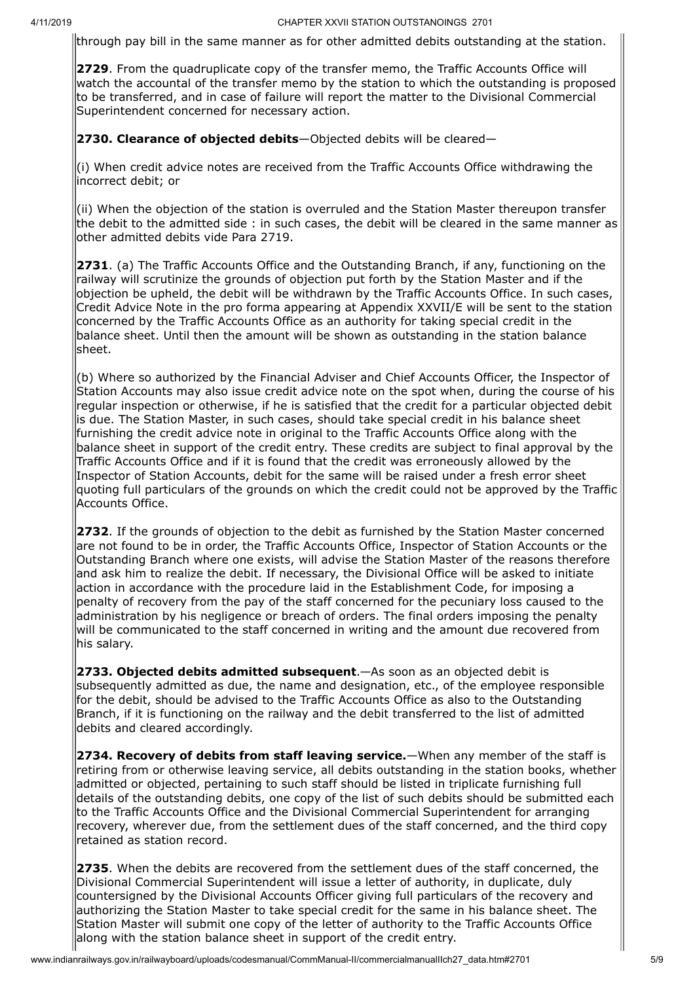through pay bill in the same manner as for other admitted debits outstanding at the station.

**2729**. From the quadruplicate copy of the transfer memo, the Traffic Accounts Office will watch the accountal of the transfer memo by the station to which the outstanding is proposed to be transferred, and in case of failure will report the matter to the Divisional Commercial Superintendent concerned for necessary action.

**2730. Clearance of objected debits**—Objected debits will be cleared—

 $(i)$  When credit advice notes are received from the Traffic Accounts Office withdrawing the incorrect debit; or

 $(iii)$  When the objection of the station is overruled and the Station Master thereupon transfer the debit to the admitted side : in such cases, the debit will be cleared in the same manner as other admitted debits vide Para 2719.

**2731**. (a) The Traffic Accounts Office and the Outstanding Branch, if any, functioning on the railway will scrutinize the grounds of objection put forth by the Station Master and if the objection be upheld, the debit will be withdrawn by the Traffic Accounts Office. In such cases, Credit Advice Note in the pro forma appearing at Appendix XXVII/E will be sent to the station concerned by the Traffic Accounts Office as an authority for taking special credit in the balance sheet. Until then the amount will be shown as outstanding in the station balance sheet.

 $(6)$  Where so authorized by the Financial Adviser and Chief Accounts Officer, the Inspector of Station Accounts may also issue credit advice note on the spot when, during the course of his regular inspection or otherwise, if he is satisfied that the credit for a particular objected debit is due. The Station Master, in such cases, should take special credit in his balance sheet furnishing the credit advice note in original to the Traffic Accounts Office along with the balance sheet in support of the credit entry. These credits are subject to final approval by the Traffic Accounts Office and if it is found that the credit was erroneously allowed by the Inspector of Station Accounts, debit for the same will be raised under a fresh error sheet quoting full particulars of the grounds on which the credit could not be approved by the Traffic Accounts Office.

**2732**. If the grounds of objection to the debit as furnished by the Station Master concerned are not found to be in order, the Traffic Accounts Office, Inspector of Station Accounts or the Outstanding Branch where one exists, will advise the Station Master of the reasons therefore and ask him to realize the debit. If necessary, the Divisional Office will be asked to initiate  $\alpha$  action in accordance with the procedure laid in the Establishment Code, for imposing a penalty of recovery from the pay of the staff concerned for the pecuniary loss caused to the administration by his negligence or breach of orders. The final orders imposing the penalty will be communicated to the staff concerned in writing and the amount due recovered from his salary.

**2733. Objected debits admitted subsequent**.—As soon as an objected debit is subsequently admitted as due, the name and designation, etc., of the employee responsible for the debit, should be advised to the Traffic Accounts Office as also to the Outstanding Branch, if it is functioning on the railway and the debit transferred to the list of admitted debits and cleared accordingly.

**2734. Recovery of debits from staff leaving service.**—When any member of the staff is retiring from or otherwise leaving service, all debits outstanding in the station books, whether admitted or objected, pertaining to such staff should be listed in triplicate furnishing full details of the outstanding debits, one copy of the list of such debits should be submitted each to the Traffic Accounts Office and the Divisional Commercial Superintendent for arranging recovery, wherever due, from the settlement dues of the staff concerned, and the third copy retained as station record.

**2735**. When the debits are recovered from the settlement dues of the staff concerned, the Divisional Commercial Superintendent will issue a letter of authority, in duplicate, duly countersigned by the Divisional Accounts Officer giving full particulars of the recovery and authorizing the Station Master to take special credit for the same in his balance sheet. The Station Master will submit one copy of the letter of authority to the Traffic Accounts Office along with the station balance sheet in support of the credit entry.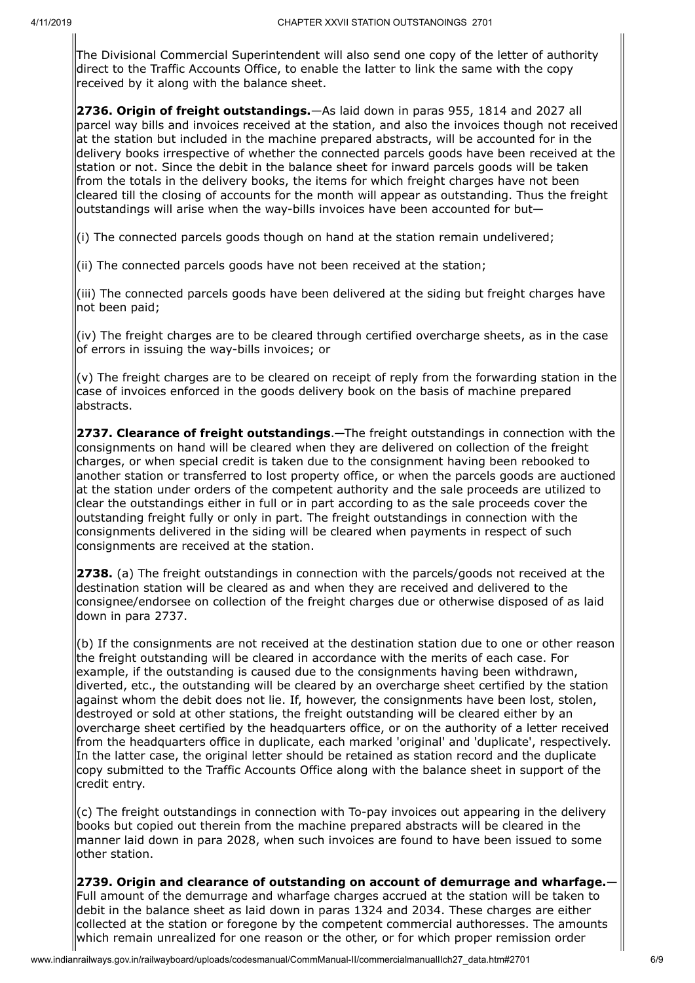The Divisional Commercial Superintendent will also send one copy of the letter of authority direct to the Traffic Accounts Office, to enable the latter to link the same with the copy received by it along with the balance sheet.

**2736. Origin of freight outstandings.**—As laid down in paras 955, 1814 and 2027 all parcel way bills and invoices received at the station, and also the invoices though not received  $a$ t the station but included in the machine prepared abstracts, will be accounted for in the delivery books irrespective of whether the connected parcels goods have been received at the station or not. Since the debit in the balance sheet for inward parcels goods will be taken from the totals in the delivery books, the items for which freight charges have not been cleared till the closing of accounts for the month will appear as outstanding. Thus the freight  $\overline{b}$ outstandings will arise when the way-bills invoices have been accounted for but—

 $(i)$  The connected parcels goods though on hand at the station remain undelivered;

 $\vert$ (ii) The connected parcels goods have not been received at the station;

(iii) The connected parcels goods have been delivered at the siding but freight charges have not been paid;

 $\vert$ (iv) The freight charges are to be cleared through certified overcharge sheets, as in the case of errors in issuing the way-bills invoices; or

 $(v)$  The freight charges are to be cleared on receipt of reply from the forwarding station in the case of invoices enforced in the goods delivery book on the basis of machine prepared abstracts.

**2737. Clearance of freight outstandings**.—The freight outstandings in connection with the consignments on hand will be cleared when they are delivered on collection of the freight charges, or when special credit is taken due to the consignment having been rebooked to another station or transferred to lost property office, or when the parcels goods are auctioned at the station under orders of the competent authority and the sale proceeds are utilized to clear the outstandings either in full or in part according to as the sale proceeds cover the outstanding freight fully or only in part. The freight outstandings in connection with the consignments delivered in the siding will be cleared when payments in respect of such consignments are received at the station.

**2738.** (a) The freight outstandings in connection with the parcels/goods not received at the destination station will be cleared as and when they are received and delivered to the consignee/endorsee on collection of the freight charges due or otherwise disposed of as laid down in para 2737.

 $(6)$  If the consignments are not received at the destination station due to one or other reason the freight outstanding will be cleared in accordance with the merits of each case. For  $\epsilon$  example, if the outstanding is caused due to the consignments having been withdrawn, diverted, etc., the outstanding will be cleared by an overcharge sheet certified by the station against whom the debit does not lie. If, however, the consignments have been lost, stolen, destroyed or sold at other stations, the freight outstanding will be cleared either by an  $\alpha$  overcharge sheet certified by the headquarters office, or on the authority of a letter received from the headquarters office in duplicate, each marked 'original' and 'duplicate', respectively. In the latter case, the original letter should be retained as station record and the duplicate copy submitted to the Traffic Accounts Office along with the balance sheet in support of the credit entry.

 $(c)$  The freight outstandings in connection with To-pay invoices out appearing in the delivery books but copied out therein from the machine prepared abstracts will be cleared in the manner laid down in para 2028, when such invoices are found to have been issued to some other station.

**2739. Origin and clearance of outstanding on account of demurrage and wharfage.**— Full amount of the demurrage and wharfage charges accrued at the station will be taken to debit in the balance sheet as laid down in paras 1324 and 2034. These charges are either collected at the station or foregone by the competent commercial authoresses. The amounts which remain unrealized for one reason or the other, or for which proper remission order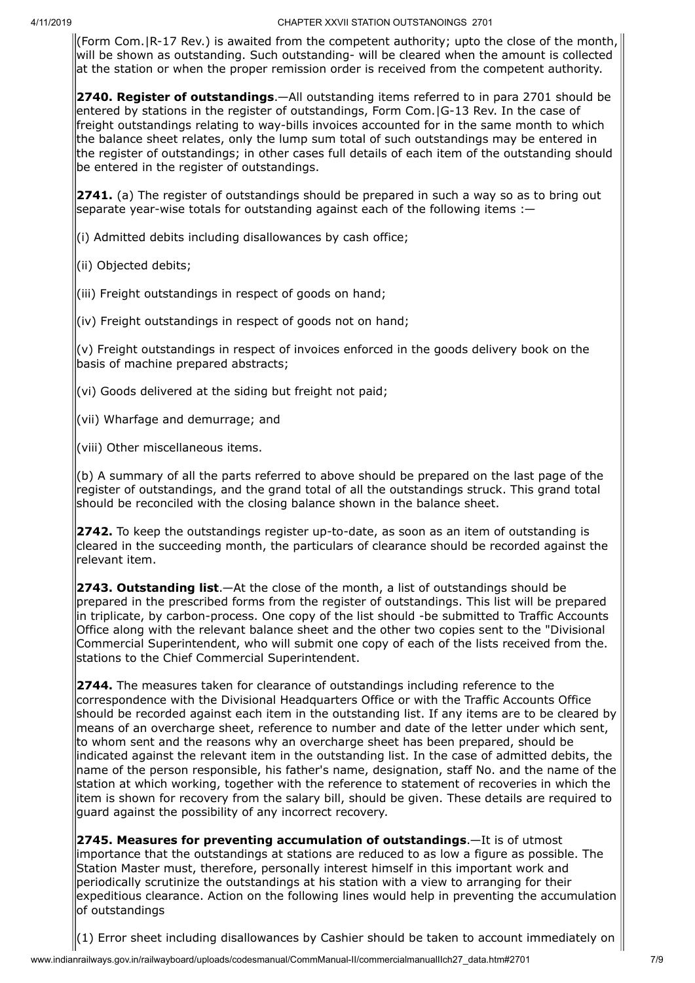(Form Com.|R-17 Rev.) is awaited from the competent authority; upto the close of the month, will be shown as outstanding. Such outstanding- will be cleared when the amount is collected at the station or when the proper remission order is received from the competent authority.

**2740. Register of outstandings**.—All outstanding items referred to in para 2701 should be entered by stations in the register of outstandings, Form Com.|G-13 Rev. In the case of freight outstandings relating to way-bills invoices accounted for in the same month to which the balance sheet relates, only the lump sum total of such outstandings may be entered in the register of outstandings; in other cases full details of each item of the outstanding should be entered in the register of outstandings.

**2741.** (a) The register of outstandings should be prepared in such a way so as to bring out separate year-wise totals for outstanding against each of the following items :—

(i) Admitted debits including disallowances by cash office;

(ii) Objected debits;

(iii) Freight outstandings in respect of goods on hand;

(iv) Freight outstandings in respect of goods not on hand;

(v) Freight outstandings in respect of invoices enforced in the goods delivery book on the basis of machine prepared abstracts;

 $|$ (vi) Goods delivered at the siding but freight not paid;

(vii) Wharfage and demurrage; and

(viii) Other miscellaneous items.

 $(6)$  A summary of all the parts referred to above should be prepared on the last page of the register of outstandings, and the grand total of all the outstandings struck. This grand total should be reconciled with the closing balance shown in the balance sheet.

**2742.** To keep the outstandings register up-to-date, as soon as an item of outstanding is cleared in the succeeding month, the particulars of clearance should be recorded against the relevant item.

**2743. Outstanding list**.—At the close of the month, a list of outstandings should be prepared in the prescribed forms from the register of outstandings. This list will be prepared in triplicate, by carbon-process. One copy of the list should -be submitted to Traffic Accounts Office along with the relevant balance sheet and the other two copies sent to the "Divisional Commercial Superintendent, who will submit one copy of each of the lists received from the. stations to the Chief Commercial Superintendent.

**2744.** The measures taken for clearance of outstandings including reference to the correspondence with the Divisional Headquarters Office or with the Traffic Accounts Office should be recorded against each item in the outstanding list. If any items are to be cleared by  $|$ means of an overcharge sheet, reference to number and date of the letter under which sent, to whom sent and the reasons why an overcharge sheet has been prepared, should be indicated against the relevant item in the outstanding list. In the case of admitted debits, the name of the person responsible, his father's name, designation, staff No. and the name of the station at which working, together with the reference to statement of recoveries in which the item is shown for recovery from the salary bill, should be given. These details are required to quard against the possibility of any incorrect recovery.

**2745. Measures for preventing accumulation of outstandings**.—It is of utmost importance that the outstandings at stations are reduced to as low a figure as possible. The Station Master must, therefore, personally interest himself in this important work and periodically scrutinize the outstandings at his station with a view to arranging for their expeditious clearance. Action on the following lines would help in preventing the accumulation of outstandings

 $(1)$  Error sheet including disallowances by Cashier should be taken to account immediately on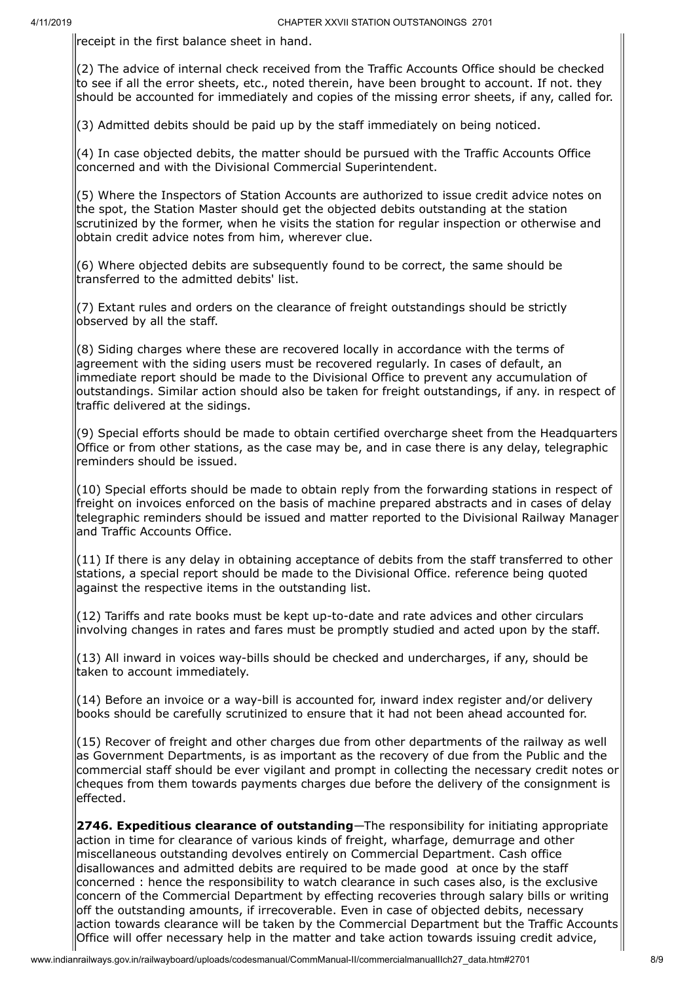receipt in the first balance sheet in hand.

(2) The advice of internal check received from the Traffic Accounts Office should be checked to see if all the error sheets, etc., noted therein, have been brought to account. If not. they should be accounted for immediately and copies of the missing error sheets, if any, called for.

 $(3)$  Admitted debits should be paid up by the staff immediately on being noticed.

 $(4)$  In case objected debits, the matter should be pursued with the Traffic Accounts Office concerned and with the Divisional Commercial Superintendent.

(5) Where the Inspectors of Station Accounts are authorized to issue credit advice notes on the spot, the Station Master should get the objected debits outstanding at the station scrutinized by the former, when he visits the station for regular inspection or otherwise and obtain credit advice notes from him, wherever clue.

 $(6)$  Where objected debits are subsequently found to be correct, the same should be transferred to the admitted debits' list.

 $(7)$  Extant rules and orders on the clearance of freight outstandings should be strictly observed by all the staff.

 $(8)$  Siding charges where these are recovered locally in accordance with the terms of agreement with the siding users must be recovered regularly. In cases of default, an immediate report should be made to the Divisional Office to prevent any accumulation of  $\alpha$ utstandings. Similar action should also be taken for freight outstandings, if any. in respect of traffic delivered at the sidings.

 $(9)$  Special efforts should be made to obtain certified overcharge sheet from the Headquarters Office or from other stations, as the case may be, and in case there is any delay, telegraphic reminders should be issued.

 $(10)$  Special efforts should be made to obtain reply from the forwarding stations in respect of freight on invoices enforced on the basis of machine prepared abstracts and in cases of delay telegraphic reminders should be issued and matter reported to the Divisional Railway Manager and Traffic Accounts Office.

 $(11)$  If there is any delay in obtaining acceptance of debits from the staff transferred to other stations, a special report should be made to the Divisional Office. reference being quoted against the respective items in the outstanding list.

 $(12)$  Tariffs and rate books must be kept up-to-date and rate advices and other circulars involving changes in rates and fares must be promptly studied and acted upon by the staff.

 $(13)$  All inward in voices way-bills should be checked and undercharges, if any, should be taken to account immediately.

 $(14)$  Before an invoice or a way-bill is accounted for, inward index register and/or delivery books should be carefully scrutinized to ensure that it had not been ahead accounted for.

 $\vert$ (15) Recover of freight and other charges due from other departments of the railway as well as Government Departments, is as important as the recovery of due from the Public and the commercial staff should be ever vigilant and prompt in collecting the necessary credit notes or cheques from them towards payments charges due before the delivery of the consignment is effected.

**2746. Expeditious clearance of outstanding**—The responsibility for initiating appropriate action in time for clearance of various kinds of freight, wharfage, demurrage and other miscellaneous outstanding devolves entirely on Commercial Department. Cash office disallowances and admitted debits are required to be made good at once by the staff concerned : hence the responsibility to watch clearance in such cases also, is the exclusive concern of the Commercial Department by effecting recoveries through salary bills or writing off the outstanding amounts, if irrecoverable. Even in case of objected debits, necessary action towards clearance will be taken by the Commercial Department but the Traffic Accounts Office will offer necessary help in the matter and take action towards issuing credit advice,